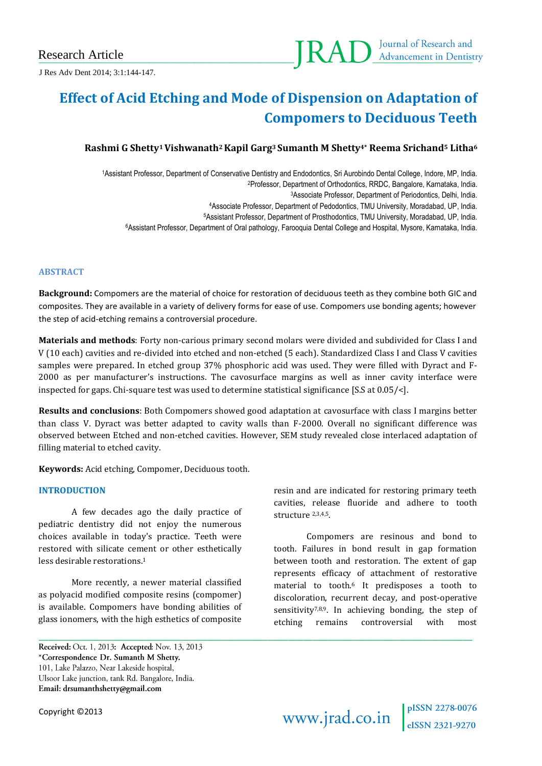J Res Adv Dent 2014; 3:1:144-147.

# **Effect of Acid Etching and Mode of Dispension on Adaptation of Compomers to Deciduous Teeth**

# **Rashmi G Shetty1Vishwanath2Kapil Garg<sup>3</sup> Sumanth M Shetty4\* Reema Srichand<sup>5</sup> Litha<sup>6</sup>**

Assistant Professor, Department of Conservative Dentistry and Endodontics, Sri Aurobindo Dental College, Indore, MP, India. Professor, Department of Orthodontics, RRDC, Bangalore, Karnataka, India. Associate Professor, Department of Periodontics, Delhi, India. Associate Professor, Department of Pedodontics, TMU University, Moradabad, UP, India. Assistant Professor, Department of Prosthodontics, TMU University, Moradabad, UP, India. Assistant Professor, Department of Oral pathology, Farooquia Dental College and Hospital, Mysore, Karnataka, India.

## **ABSTRACT**

**Background:** Compomers are the material of choice for restoration of deciduous teeth as they combine both GIC and composites. They are available in a variety of delivery forms for ease of use. Compomers use bonding agents; however the step of acid-etching remains a controversial procedure.

**Materials and methods**: Forty non-carious primary second molars were divided and subdivided for Class I and V (10 each) cavities and re-divided into etched and non-etched (5 each). Standardized Class I and Class V cavities samples were prepared. In etched group 37% phosphoric acid was used. They were filled with Dyract and F-2000 as per manufacturer's instructions. The cavosurface margins as well as inner cavity interface were inspected for gaps. Chi-square test was used to determine statistical significance [S.S at 0.05/<].

**Results and conclusions**: Both Compomers showed good adaptation at cavosurface with class I margins better than class V. Dyract was better adapted to cavity walls than F-2000. Overall no significant difference was observed between Etched and non-etched cavities. However, SEM study revealed close interlaced adaptation of filling material to etched cavity.

\_\_\_\_\_\_\_\_\_\_\_\_\_\_\_\_\_\_\_\_\_\_\_\_\_\_\_\_\_\_\_\_\_\_\_\_\_\_\_\_\_\_\_\_\_\_\_\_\_\_\_\_\_\_\_\_\_\_\_\_\_\_\_\_\_\_\_\_\_\_\_\_\_\_\_\_\_\_\_\_\_\_\_\_\_\_\_

**Keywords:** Acid etching, Compomer, Deciduous tooth.

#### **INTRODUCTION**

A few decades ago the daily practice of pediatric dentistry did not enjoy the numerous choices available in today's practice. Teeth were restored with silicate cement or other esthetically less desirable restorations.<sup>1</sup>

More recently, a newer material classified as polyacid modified composite resins (compomer) is available. Compomers have bonding abilities of glass ionomers, with the high esthetics of composite resin and are indicated for restoring primary teeth cavities, release fluoride and adhere to tooth structure 2,3,4,5.

Compomers are resinous and bond to tooth. Failures in bond result in gap formation between tooth and restoration. The extent of gap represents efficacy of attachment of restorative material to tooth.<sup>6</sup> It predisposes a tooth to discoloration, recurrent decay, and post-operative sensitivity<sup>7,8,9</sup>. In achieving bonding, the step of etching remains controversial with most

Received: Oct. 1, 2013: Accepted: Nov. 13, 2013 \*Correspondence Dr. Sumanth M Shetty. 101, Lake Palazzo, Near Lakeside hospital, Ulsoor Lake junction, tank Rd. Bangalore, India. Email: drsumanthshetty@gmail.com

Copyright ©2013

www.jrad.co.in  $\int_{eISSN 2321-9270}^{pISSN 2278-0076}$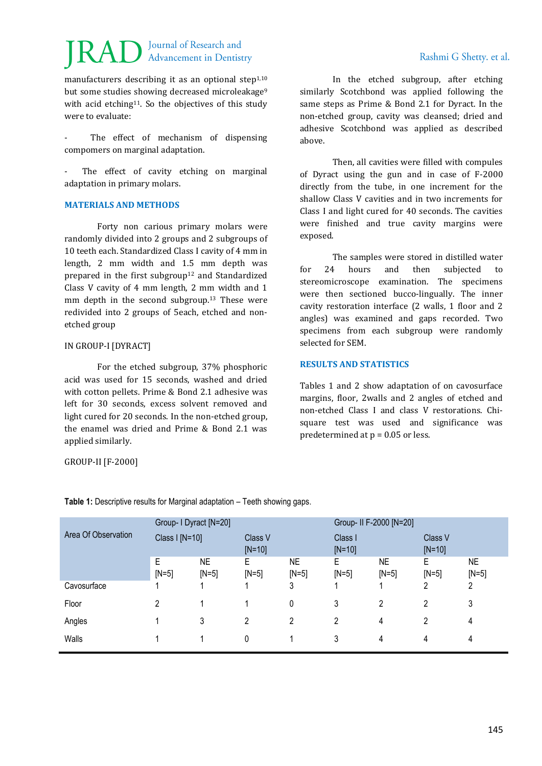# Journal of Research and **Advancement in Dentistry**

manufacturers describing it as an optional step $1,10$ but some studies showing decreased microleakage<sup>9</sup> with acid etching<sup>11</sup>. So the objectives of this study were to evaluate:

The effect of mechanism of dispensing compomers on marginal adaptation.

The effect of cavity etching on marginal adaptation in primary molars.

### **MATERIALS AND METHODS**

Forty non carious primary molars were randomly divided into 2 groups and 2 subgroups of 10 teeth each. Standardized Class I cavity of 4 mm in length, 2 mm width and 1.5 mm depth was prepared in the first subgroup<sup>12</sup> and Standardized Class V cavity of 4 mm length, 2 mm width and 1 mm depth in the second subgroup.<sup>13</sup> These were redivided into 2 groups of 5each, etched and nonetched group

## IN GROUP-I [DYRACT]

For the etched subgroup, 37% phosphoric acid was used for 15 seconds, washed and dried with cotton pellets. Prime & Bond 2.1 adhesive was left for 30 seconds, excess solvent removed and light cured for 20 seconds. In the non-etched group, the enamel was dried and Prime & Bond 2.1 was applied similarly.

GROUP-II [F-2000]

In the etched subgroup, after etching similarly Scotchbond was applied following the same steps as Prime & Bond 2.1 for Dyract. In the non-etched group, cavity was cleansed; dried and adhesive Scotchbond was applied as described above.

Then, all cavities were filled with compules of Dyract using the gun and in case of F-2000 directly from the tube, in one increment for the shallow Class V cavities and in two increments for Class I and light cured for 40 seconds. The cavities were finished and true cavity margins were exposed.

The samples were stored in distilled water for 24 hours and then subjected to stereomicroscope examination. The specimens were then sectioned bucco-lingually. The inner cavity restoration interface (2 walls, 1 floor and 2 angles) was examined and gaps recorded. Two specimens from each subgroup were randomly selected for SEM.

# **RESULTS AND STATISTICS**

Tables 1 and 2 show adaptation of on cavosurface margins, floor, 2walls and 2 angles of etched and non-etched Class I and class V restorations. Chisquare test was used and significance was predetermined at  $p = 0.05$  or less.

|                     | Group- I Dyract [N=20] |               |                     |                | Group- II F-2000 [N=20] |               |                     |               |
|---------------------|------------------------|---------------|---------------------|----------------|-------------------------|---------------|---------------------|---------------|
| Area Of Observation | Class I [N=10]         |               | Class V<br>$[N=10]$ |                | Class I<br>$[N=10]$     |               | Class V<br>$[N=10]$ |               |
|                     | E<br>$[N=5]$           | NE<br>$[N=5]$ | Е<br>$[N=5]$        | NE<br>$[N=5]$  | E<br>$[N=5]$            | NE<br>$[N=5]$ | Е<br>$[N=5]$        | NE<br>$[N=5]$ |
| Cavosurface         |                        |               |                     | 3              |                         |               | າ                   | 2             |
| Floor               | 2                      |               |                     | 0              | 3                       | 2             | 2                   | 3             |
| Angles              |                        | 3             | 2                   | $\overline{c}$ | 2                       | 4             | 2                   | 4             |
| Walls               |                        |               | 0                   |                | 3                       | 4             | 4                   | 4             |

**Table 1:** Descriptive results for Marginal adaptation – Teeth showing gaps.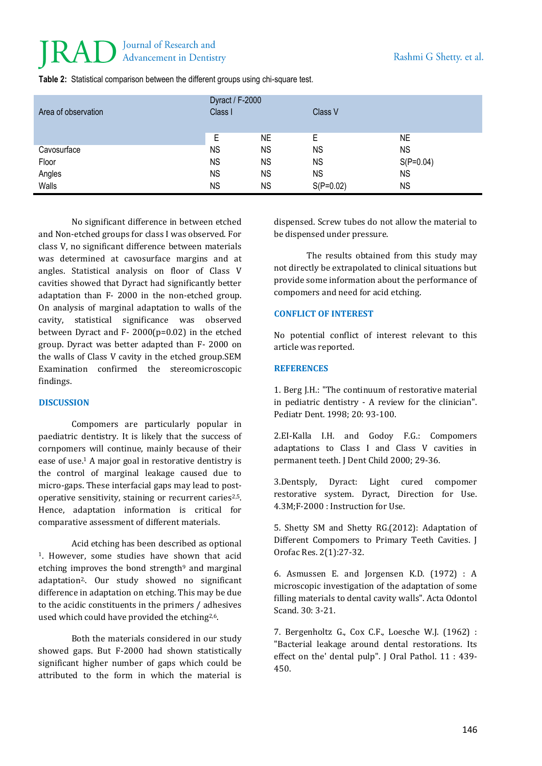# Journal of Research and **Advancement in Dentistry**

| Area of observation | Dyract / F-2000<br>Class I |           | Class V     |             |  |
|---------------------|----------------------------|-----------|-------------|-------------|--|
|                     | Е                          | <b>NE</b> | E           | NE          |  |
| Cavosurface         | <b>NS</b>                  | <b>NS</b> | <b>NS</b>   | <b>NS</b>   |  |
| Floor               | <b>NS</b>                  | <b>NS</b> | <b>NS</b>   | $S(P=0.04)$ |  |
| Angles              | <b>NS</b>                  | <b>NS</b> | <b>NS</b>   | <b>NS</b>   |  |
| Walls               | <b>NS</b>                  | <b>NS</b> | $S(P=0.02)$ | <b>NS</b>   |  |

**Table 2:** Statistical comparison between the different groups using chi-square test.

No significant difference in between etched and Non-etched groups for class I was observed. For class V, no significant difference between materials was determined at cavosurface margins and at angles. Statistical analysis on floor of Class V cavities showed that Dyract had significantly better adaptation than F- 2000 in the non-etched group. On analysis of marginal adaptation to walls of the cavity, statistical significance was observed between Dyract and F- 2000(p=0.02) in the etched group. Dyract was better adapted than F- 2000 on the walls of Class V cavity in the etched group.SEM Examination confirmed the stereomicroscopic findings.

### **DISCUSSION**

Compomers are particularly popular in paediatric dentistry. It is likely that the success of cornpomers will continue, mainly because of their ease of use.<sup>1</sup> A major goal in restorative dentistry is the control of marginal leakage caused due to micro-gaps. These interfacial gaps may lead to postoperative sensitivity, staining or recurrent caries<sup>2,5</sup>. Hence, adaptation information is critical for comparative assessment of different materials.

Acid etching has been described as optional <sup>1</sup>. However, some studies have shown that acid etching improves the bond strength $9$  and marginal adaptation2,. Our study showed no significant difference in adaptation on etching. This may be due to the acidic constituents in the primers / adhesives used which could have provided the etching<sup>2,6</sup>.

Both the materials considered in our study showed gaps. But F-2000 had shown statistically significant higher number of gaps which could be attributed to the form in which the material is

dispensed. Screw tubes do not allow the material to be dispensed under pressure.

The results obtained from this study may not directly be extrapolated to clinical situations but provide some information about the performance of compomers and need for acid etching.

#### **CONFLICT OF INTEREST**

No potential conflict of interest relevant to this article was reported.

#### **REFERENCES**

1. Berg J.H.: "The continuum of restorative material in pediatric dentistry - A review for the clinician". Pediatr Dent. 1998; 20: 93-100.

2.EI-Kalla I.H. and Godoy F.G.: Compomers adaptations to Class I and Class V cavities in permanent teeth. J Dent Child 2000; 29-36.

3.Dentsply, Dyract: Light cured compomer restorative system. Dyract, Direction for Use. 4.3M;F-2000 : Instruction for Use.

5. Shetty SM and Shetty RG.(2012): Adaptation of Different Compomers to Primary Teeth Cavities. J Orofac Res. 2(1):27-32.

6. Asmussen E. and Jorgensen K.D. (1972) : A microscopic investigation of the adaptation of some filling materials to dental cavity walls". Acta Odontol Scand. 30: 3-21.

7. Bergenholtz G., Cox C.F., Loesche W.J. (1962) : "Bacterial leakage around dental restorations. Its effect on the' dental pulp". J Oral Pathol. 11 : 439- 450.